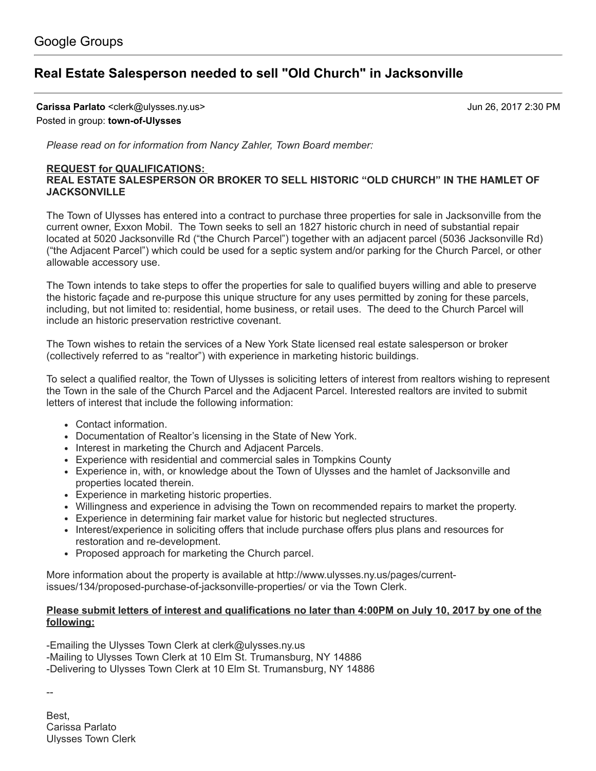## Real Estate [Salesperson](https://groups.google.com/d/topic/town-of-ulysses/zjbjA81G4CQ) needed to sell "Old Church" in Jacksonville

Carissa Parlato <clerk@ulysses.ny.us> Jun 26, 2017 2:30 PM

Posted in group: [town-of-Ulysses](https://groups.google.com/d/forum/town-of-ulysses)

Please read on for information from Nancy Zahler, Town Board member:

## REQUEST for QUALIFICATIONS:

## REAL ESTATE SALESPERSON OR BROKER TO SELL HISTORIC "OLD CHURCH" IN THE HAMLET OF **JACKSONVILLE**

The Town of Ulysses has entered into a contract to purchase three properties for sale in Jacksonville from the current owner, Exxon Mobil. The Town seeks to sell an 1827 historic church in need of substantial repair located at 5020 Jacksonville Rd ("the Church Parcel") together with an adjacent parcel (5036 Jacksonville Rd) ("the Adjacent Parcel") which could be used for a septic system and/or parking for the Church Parcel, or other allowable accessory use.

The Town intends to take steps to offer the properties for sale to qualified buyers willing and able to preserve the historic façade and re-purpose this unique structure for any uses permitted by zoning for these parcels, including, but not limited to: residential, home business, or retail uses. The deed to the Church Parcel will include an historic preservation restrictive covenant.

The Town wishes to retain the services of a New York State licensed real estate salesperson or broker (collectively referred to as "realtor") with experience in marketing historic buildings.

To select a qualified realtor, the Town of Ulysses is soliciting letters of interest from realtors wishing to represent the Town in the sale of the Church Parcel and the Adjacent Parcel. Interested realtors are invited to submit letters of interest that include the following information:

- Contact information.
- Documentation of Realtor's licensing in the State of New York.
- Interest in marketing the Church and Adjacent Parcels.
- Experience with residential and commercial sales in Tompkins County
- Experience in, with, or knowledge about the Town of Ulysses and the hamlet of Jacksonville and properties located therein.
- Experience in marketing historic properties.
- Willingness and experience in advising the Town on recommended repairs to market the property.
- Experience in determining fair market value for historic but neglected structures.
- Interest/experience in soliciting offers that include purchase offers plus plans and resources for restoration and re-development.
- Proposed approach for marketing the Church parcel.

More information about the property is available at http://www.ulysses.ny.us/pages/current[issues/134/proposed-purchase-of-jacksonville-properties/](http://www.ulysses.ny.us/pages/current-issues/134/proposed-purchase-of-jacksonville-properties/) or via the Town Clerk.

## Please submit letters of interest and qualifications no later than 4:00PM on July 10, 2017 by one of the following:

-Emailing the Ulysses Town Clerk at [clerk@ulysses.ny.us](mailto:clerk@ulysses.ny.us)

-Mailing to Ulysses Town Clerk at 10 Elm St. Trumansburg, NY 14886

-Delivering to Ulysses Town Clerk at 10 Elm St. Trumansburg, NY 14886

--

Best, Carissa Parlato Ulysses Town Clerk